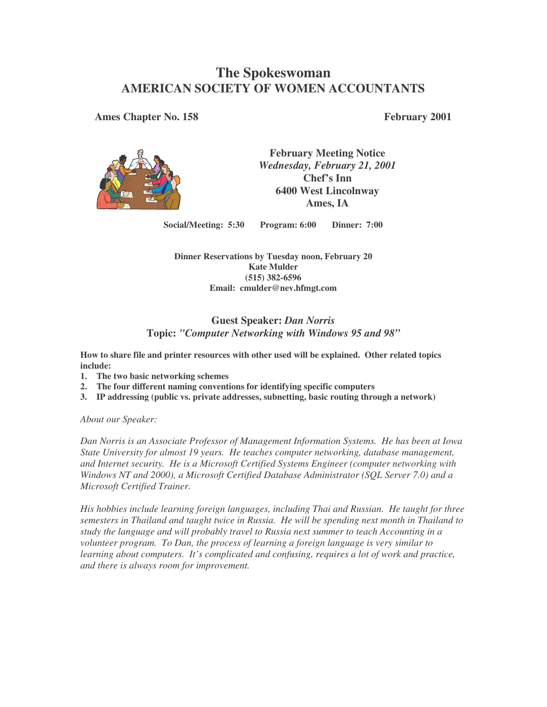# **The Spokeswoman AMERICAN SOCIETY OF WOMEN ACCOUNTANTS**

**Ames Chapter No. 158 February 2001**



**February Meeting Notice** *Wednesday, February 21, 2001* **Chef's Inn 6400 West Lincolnway Ames, IA**

**Social/Meeting: 5:30 Program: 6:00 Dinner: 7:00**

**Dinner Reservations by Tuesday noon, February 20 Kate Mulder (515) 382-6596 Email: cmulder@nev.hfmgt.com**

## **Guest Speaker:** *Dan Norris* **Topic:** *"Computer Networking with Windows 95 and 98"*

**How to share file and printer resources with other used will be explained. Other related topics include:**

- **1. The two basic networking schemes**
- **2. The four different naming conventions for identifying specific computers**
- **3. IP addressing (public vs. private addresses, subnetting, basic routing through a network)**

*About our Speaker:*

*Dan Norris is an Associate Professor of Management Information Systems. He has been at Iowa State University for almost 19 years. He teaches computer networking, database management, and Internet security. He is a Microsoft Certified Systems Engineer (computer networking with Windows NT and 2000), a Microsoft Certified Database Administrator (SQL Server 7.0) and a Microsoft Certified Trainer.*

*His hobbies include learning foreign languages, including Thai and Russian. He taught for three semesters in Thailand and taught twice in Russia. He will be spending next month in Thailand to study the language and will probably travel to Russia next summer to teach Accounting in a volunteer program. To Dan, the process of learning a foreign language is very similar to learning about computers. It's complicated and confusing, requires a lot of work and practice, and there is always room for improvement.*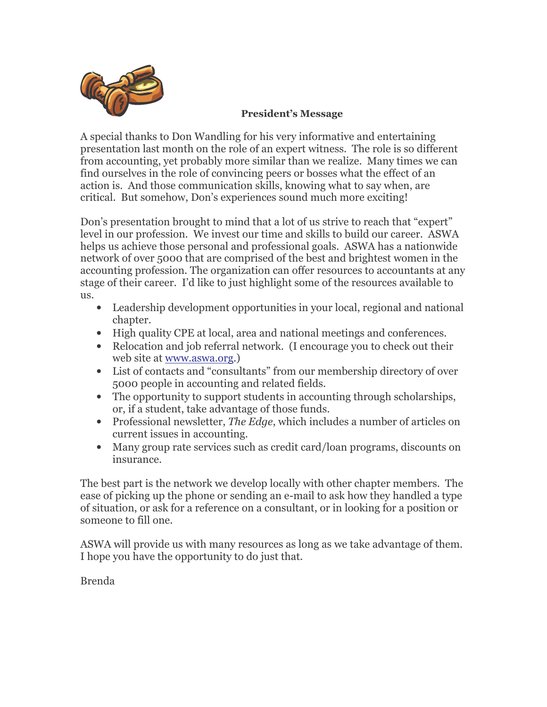

## **President's Message**

A special thanks to Don Wandling for his very informative and entertaining presentation last month on the role of an expert witness. The role is so different from accounting, yet probably more similar than we realize. Many times we can find ourselves in the role of convincing peers or bosses what the effect of an action is. And those communication skills, knowing what to say when, are critical. But somehow, Don's experiences sound much more exciting!

Don's presentation brought to mind that a lot of us strive to reach that "expert" level in our profession. We invest our time and skills to build our career. ASWA helps us achieve those personal and professional goals. ASWA has a nationwide network of over 5000 that are comprised of the best and brightest women in the accounting profession. The organization can offer resources to accountants at any stage of their career. I'd like to just highlight some of the resources available to us.

- Leadership development opportunities in your local, regional and national chapter.
- High quality CPE at local, area and national meetings and conferences.
- Relocation and job referral network. (I encourage you to check out their web site at www.aswa.org.)
- List of contacts and "consultants" from our membership directory of over 5000 people in accounting and related fields.
- The opportunity to support students in accounting through scholarships, or, if a student, take advantage of those funds.
- Professional newsletter, The Edge, which includes a number of articles on current issues in accounting.
- Many group rate services such as credit card/loan programs, discounts on insurance.

The best part is the network we develop locally with other chapter members. The ease of picking up the phone or sending an e-mail to ask how they handled a type of situation, or ask for a reference on a consultant, or in looking for a position or someone to fill one.

ASWA will provide us with many resources as long as we take advantage of them. I hope you have the opportunity to do just that.

**Brenda**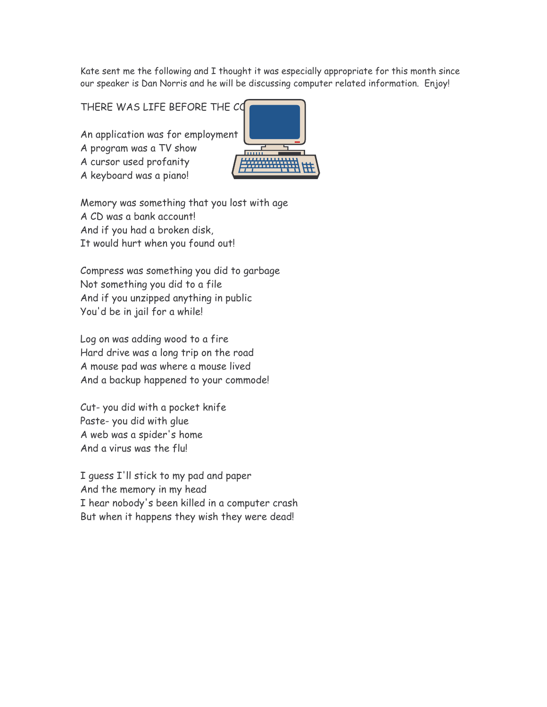Kate sent me the following and I thought it was especially appropriate for this month since our speaker is Dan Norris and he will be discussing computer related information. Enjoy!

THERE WAS LIFE BEFORE THE CO

An application was for employment A program was a TV show A cursor used profanity A keyboard was a piano!



Memory was something that you lost with age A CD was a bank account! And if you had a broken disk, It would hurt when you found out!

Compress was something you did to garbage Not something you did to a file And if you unzipped anything in public You'd be in jail for a while!

Log on was adding wood to a fire Hard drive was a long trip on the road A mouse pad was where a mouse lived And a backup happened to your commode!

Cut- you did with a pocket knife Paste-you did with glue A web was a spider's home And a virus was the flul

I guess I'll stick to my pad and paper And the memory in my head I hear nobody's been killed in a computer crash But when it happens they wish they were dead!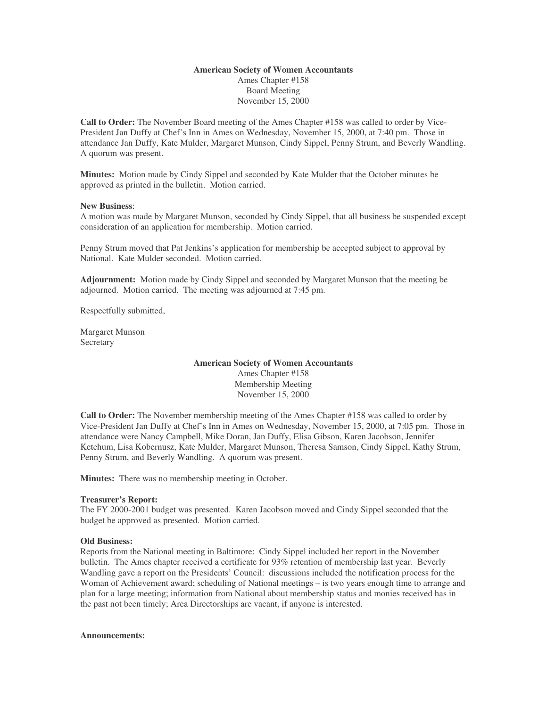## **American Society of Women Accountants** Ames Chapter #158 Board Meeting November 15, 2000

**Call to Order:** The November Board meeting of the Ames Chapter #158 was called to order by Vice-President Jan Duffy at Chef's Inn in Ames on Wednesday, November 15, 2000, at 7:40 pm. Those in attendance Jan Duffy, Kate Mulder, Margaret Munson, Cindy Sippel, Penny Strum, and Beverly Wandling. A quorum was present.

**Minutes:** Motion made by Cindy Sippel and seconded by Kate Mulder that the October minutes be approved as printed in the bulletin. Motion carried.

### **New Business**:

A motion was made by Margaret Munson, seconded by Cindy Sippel, that all business be suspended except consideration of an application for membership. Motion carried.

Penny Strum moved that Pat Jenkins's application for membership be accepted subject to approval by National. Kate Mulder seconded. Motion carried.

**Adjournment:** Motion made by Cindy Sippel and seconded by Margaret Munson that the meeting be adjourned. Motion carried. The meeting was adjourned at 7:45 pm.

Respectfully submitted,

Margaret Munson **Secretary** 

## **American Society of Women Accountants** Ames Chapter #158 Membership Meeting November 15, 2000

**Call to Order:** The November membership meeting of the Ames Chapter #158 was called to order by Vice-President Jan Duffy at Chef's Inn in Ames on Wednesday, November 15, 2000, at 7:05 pm. Those in attendance were Nancy Campbell, Mike Doran, Jan Duffy, Elisa Gibson, Karen Jacobson, Jennifer Ketchum, Lisa Kobernusz, Kate Mulder, Margaret Munson, Theresa Samson, Cindy Sippel, Kathy Strum, Penny Strum, and Beverly Wandling. A quorum was present.

**Minutes:** There was no membership meeting in October.

#### **Treasurer's Report:**

The FY 2000-2001 budget was presented. Karen Jacobson moved and Cindy Sippel seconded that the budget be approved as presented. Motion carried.

#### **Old Business:**

Reports from the National meeting in Baltimore: Cindy Sippel included her report in the November bulletin. The Ames chapter received a certificate for 93% retention of membership last year. Beverly Wandling gave a report on the Presidents' Council: discussions included the notification process for the Woman of Achievement award; scheduling of National meetings – is two years enough time to arrange and plan for a large meeting; information from National about membership status and monies received has in the past not been timely; Area Directorships are vacant, if anyone is interested.

#### **Announcements:**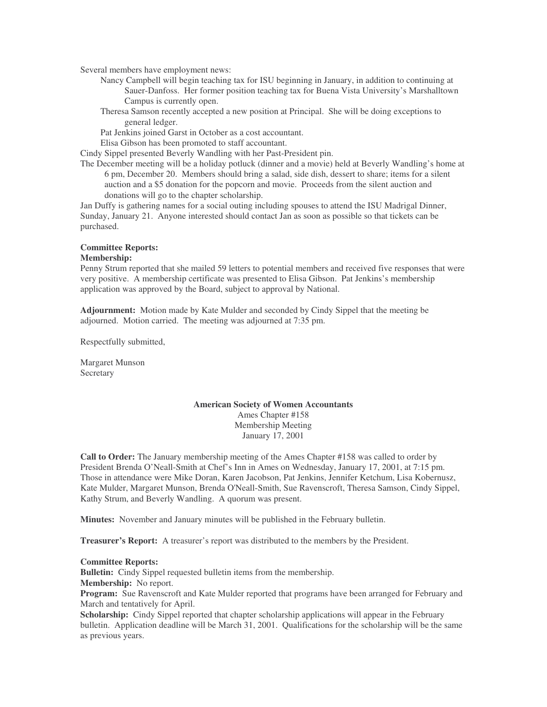Several members have employment news:

- Nancy Campbell will begin teaching tax for ISU beginning in January, in addition to continuing at Sauer-Danfoss. Her former position teaching tax for Buena Vista University's Marshalltown Campus is currently open.
- Theresa Samson recently accepted a new position at Principal. She will be doing exceptions to general ledger.

Pat Jenkins joined Garst in October as a cost accountant.

Elisa Gibson has been promoted to staff accountant.

Cindy Sippel presented Beverly Wandling with her Past-President pin.

The December meeting will be a holiday potluck (dinner and a movie) held at Beverly Wandling's home at 6 pm, December 20. Members should bring a salad, side dish, dessert to share; items for a silent auction and a \$5 donation for the popcorn and movie. Proceeds from the silent auction and donations will go to the chapter scholarship.

Jan Duffy is gathering names for a social outing including spouses to attend the ISU Madrigal Dinner, Sunday, January 21. Anyone interested should contact Jan as soon as possible so that tickets can be purchased.

#### **Committee Reports:**

#### **Membership:**

Penny Strum reported that she mailed 59 letters to potential members and received five responses that were very positive. A membership certificate was presented to Elisa Gibson. Pat Jenkins's membership application was approved by the Board, subject to approval by National.

**Adjournment:** Motion made by Kate Mulder and seconded by Cindy Sippel that the meeting be adjourned. Motion carried. The meeting was adjourned at 7:35 pm.

Respectfully submitted,

Margaret Munson Secretary

### **American Society of Women Accountants** Ames Chapter #158 Membership Meeting January 17, 2001

**Call to Order:** The January membership meeting of the Ames Chapter #158 was called to order by President Brenda O'Neall-Smith at Chef's Inn in Ames on Wednesday, January 17, 2001, at 7:15 pm. Those in attendance were Mike Doran, Karen Jacobson, Pat Jenkins, Jennifer Ketchum, Lisa Kobernusz, Kate Mulder, Margaret Munson, Brenda O'Neall-Smith, Sue Ravenscroft, Theresa Samson, Cindy Sippel, Kathy Strum, and Beverly Wandling. A quorum was present.

**Minutes:** November and January minutes will be published in the February bulletin.

**Treasurer's Report:** A treasurer's report was distributed to the members by the President.

#### **Committee Reports:**

**Bulletin:** Cindy Sippel requested bulletin items from the membership.

## **Membership:** No report.

**Program:** Sue Ravenscroft and Kate Mulder reported that programs have been arranged for February and March and tentatively for April.

**Scholarship:** Cindy Sippel reported that chapter scholarship applications will appear in the February bulletin. Application deadline will be March 31, 2001. Qualifications for the scholarship will be the same as previous years.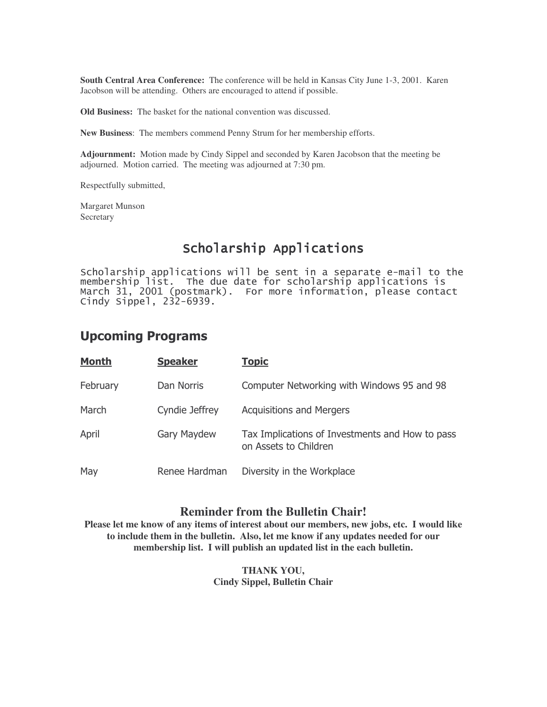**South Central Area Conference:** The conference will be held in Kansas City June 1-3, 2001. Karen Jacobson will be attending. Others are encouraged to attend if possible.

**Old Business:** The basket for the national convention was discussed.

**New Business**: The members commend Penny Strum for her membership efforts.

**Adjournment:** Motion made by Cindy Sippel and seconded by Karen Jacobson that the meeting be adjourned. Motion carried. The meeting was adjourned at 7:30 pm.

Respectfully submitted,

Margaret Munson Secretary

# Scholarship Applications

Scholarship applications will be sent in a separate e-mail to the membership list. The due date for scholarship applications is March 31, 2001 (postmark). For more information, please contact Cindy Sippel,  $232-6939$ .

# **Upcoming Programs**

| <b>Month</b> | <b>Speaker</b> | <b>Topic</b>                                                             |
|--------------|----------------|--------------------------------------------------------------------------|
| February     | Dan Norris     | Computer Networking with Windows 95 and 98                               |
| March        | Cyndie Jeffrey | <b>Acquisitions and Mergers</b>                                          |
| April        | Gary Maydew    | Tax Implications of Investments and How to pass<br>on Assets to Children |
| May          | Renee Hardman  | Diversity in the Workplace                                               |

# **Reminder from the Bulletin Chair!**

**Please let me know of any items of interest about our members, new jobs, etc. I would like to include them in the bulletin. Also, let me know if any updates needed for our membership list. I will publish an updated list in the each bulletin.**

> **THANK YOU, Cindy Sippel, Bulletin Chair**